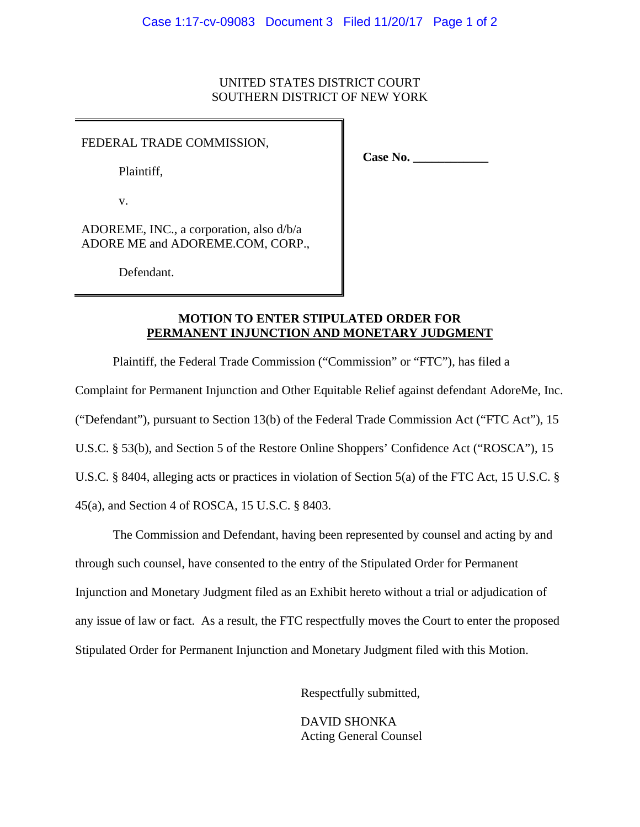#### UNITED STATES DISTRICT COURT SOUTHERN DISTRICT OF NEW YORK

#### FEDERAL TRADE COMMISSION,

Plaintiff,

v.

ADOREME, INC., a corporation, also d/b/a ADORE ME and ADOREME.COM, CORP.,

Defendant.

**Case No. \_\_\_\_\_\_\_\_\_\_\_\_** 

#### **MOTION TO ENTER STIPULATED ORDER FOR PERMANENT INJUNCTION AND MONETARY JUDGMENT**

Plaintiff, the Federal Trade Commission ("Commission" or "FTC"), has filed a

Complaint for Permanent Injunction and Other Equitable Relief against defendant AdoreMe, Inc.

("Defendant"), pursuant to Section 13(b) of the Federal Trade Commission Act ("FTC Act"), 15

U.S.C. § 53(b), and Section 5 of the Restore Online Shoppers' Confidence Act ("ROSCA"), 15

U.S.C. § 8404, alleging acts or practices in violation of Section 5(a) of the FTC Act, 15 U.S.C. §

45(a), and Section 4 of ROSCA, 15 U.S.C. § 8403.

The Commission and Defendant, having been represented by counsel and acting by and through such counsel, have consented to the entry of the Stipulated Order for Permanent Injunction and Monetary Judgment filed as an Exhibit hereto without a trial or adjudication of any issue of law or fact. As a result, the FTC respectfully moves the Court to enter the proposed Stipulated Order for Permanent Injunction and Monetary Judgment filed with this Motion.

Respectfully submitted,

 DAVID SHONKA Acting General Counsel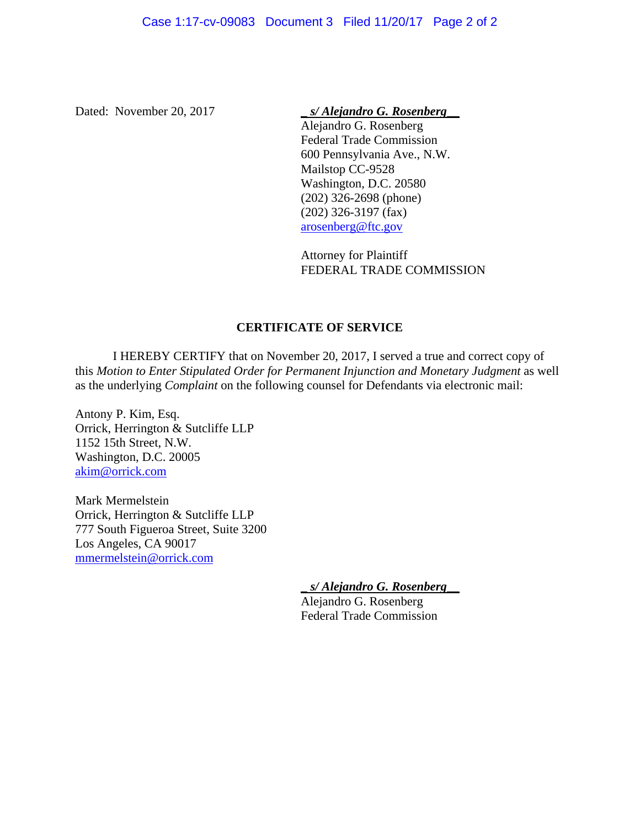Dated: November 20, 2017 **Similar Studies 20, 2017 Similar Studies 20, 2017 Similar Studies 20, 2017 Similar Studies 20, 2017 Similar Studies 20, 2017 Similar Studies 20, 2017 Studies 20, 2017 Studies 20, 201** 

 Alejandro G. Rosenberg Federal Trade Commission 600 Pennsylvania Ave., N.W. Mailstop CC-9528 Washington, D.C. 20580 (202) 326-2698 (phone) (202) 326-3197 (fax) arosenberg@ftc.gov

 Attorney for Plaintiff FEDERAL TRADE COMMISSION

## **CERTIFICATE OF SERVICE**

I HEREBY CERTIFY that on November 20, 2017, I served a true and correct copy of this *Motion to Enter Stipulated Order for Permanent Injunction and Monetary Judgment* as well as the underlying *Complaint* on the following counsel for Defendants via electronic mail:

Antony P. Kim, Esq. Orrick, Herrington & Sutcliffe LLP 1152 15th Street, N.W. Washington, D.C. 20005 akim@orrick.com

Mark Mermelstein Orrick, Herrington & Sutcliffe LLP 777 South Figueroa Street, Suite 3200 Los Angeles, CA 90017 mmermelstein@orrick.com

\_ *s/ Alejandro G. Rosenberg*\_\_

 Alejandro G. Rosenberg Federal Trade Commission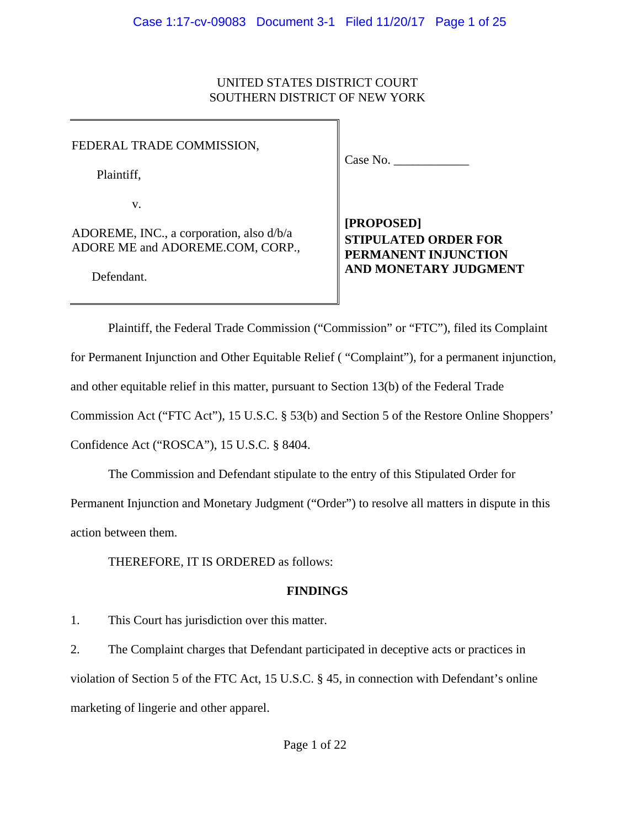## UNITED STATES DISTRICT COURT SOUTHERN DISTRICT OF NEW YORK

FEDERAL TRADE COMMISSION,

Plaintiff,

v.

ADOREME, INC., a corporation, also d/b/a ADORE ME and ADOREME.COM, CORP.,

Defendant.

Case No.

**[PROPOSED] STIPULATED ORDER FOR PERMANENT INJUNCTION AND MONETARY JUDGMENT** 

Plaintiff, the Federal Trade Commission ("Commission" or "FTC"), filed its Complaint for Permanent Injunction and Other Equitable Relief ( "Complaint"), for a permanent injunction, and other equitable relief in this matter, pursuant to Section 13(b) of the Federal Trade Commission Act ("FTC Act"), 15 U.S.C. § 53(b) and Section 5 of the Restore Online Shoppers' Confidence Act ("ROSCA"), 15 U.S.C. § 8404.

The Commission and Defendant stipulate to the entry of this Stipulated Order for

Permanent Injunction and Monetary Judgment ("Order") to resolve all matters in dispute in this

action between them.

THEREFORE, IT IS ORDERED as follows:

## **FINDINGS**

1. This Court has jurisdiction over this matter.

2. The Complaint charges that Defendant participated in deceptive acts or practices in violation of Section 5 of the FTC Act, 15 U.S.C. § 45, in connection with Defendant's online marketing of lingerie and other apparel.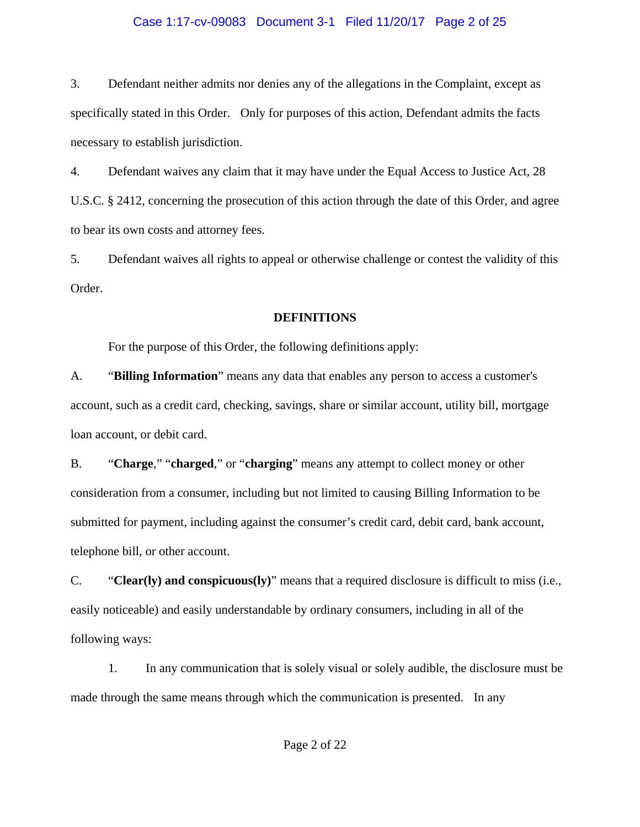## Case 1:17-cv-09083 Document 3-1 Filed 11/20/17 Page 2 of 25

3. Defendant neither admits nor denies any of the allegations in the Complaint, except as specifically stated in this Order. Only for purposes of this action, Defendant admits the facts necessary to establish jurisdiction.

4. Defendant waives any claim that it may have under the Equal Access to Justice Act, 28 U.S.C. § 2412, concerning the prosecution of this action through the date of this Order, and agree to bear its own costs and attorney fees.

5. Defendant waives all rights to appeal or otherwise challenge or contest the validity of this Order.

#### **DEFINITIONS**

For the purpose of this Order, the following definitions apply:

A. "**Billing Information**" means any data that enables any person to access a customer's account, such as a credit card, checking, savings, share or similar account, utility bill, mortgage loan account, or debit card.

B. "**Charge**," "**charged**," or "**charging**" means any attempt to collect money or other consideration from a consumer, including but not limited to causing Billing Information to be submitted for payment, including against the consumer's credit card, debit card, bank account, telephone bill, or other account.

C. "**Clear(ly) and conspicuous(ly)**" means that a required disclosure is difficult to miss (i.e., easily noticeable) and easily understandable by ordinary consumers, including in all of the following ways:

1. In any communication that is solely visual or solely audible, the disclosure must be made through the same means through which the communication is presented. In any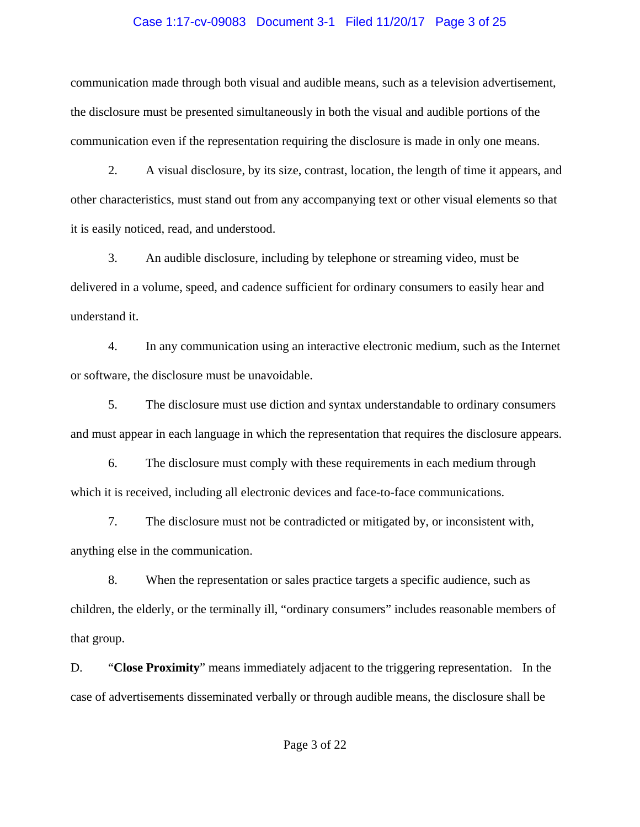#### Case 1:17-cv-09083 Document 3-1 Filed 11/20/17 Page 3 of 25

communication made through both visual and audible means, such as a television advertisement, the disclosure must be presented simultaneously in both the visual and audible portions of the communication even if the representation requiring the disclosure is made in only one means.

2. A visual disclosure, by its size, contrast, location, the length of time it appears, and other characteristics, must stand out from any accompanying text or other visual elements so that it is easily noticed, read, and understood.

3. An audible disclosure, including by telephone or streaming video, must be delivered in a volume, speed, and cadence sufficient for ordinary consumers to easily hear and understand it.

4. In any communication using an interactive electronic medium, such as the Internet or software, the disclosure must be unavoidable.

5. The disclosure must use diction and syntax understandable to ordinary consumers and must appear in each language in which the representation that requires the disclosure appears.

6. The disclosure must comply with these requirements in each medium through which it is received, including all electronic devices and face-to-face communications.

7. The disclosure must not be contradicted or mitigated by, or inconsistent with, anything else in the communication.

8. When the representation or sales practice targets a specific audience, such as children, the elderly, or the terminally ill, "ordinary consumers" includes reasonable members of that group.

D. "**Close Proximity**" means immediately adjacent to the triggering representation. In the case of advertisements disseminated verbally or through audible means, the disclosure shall be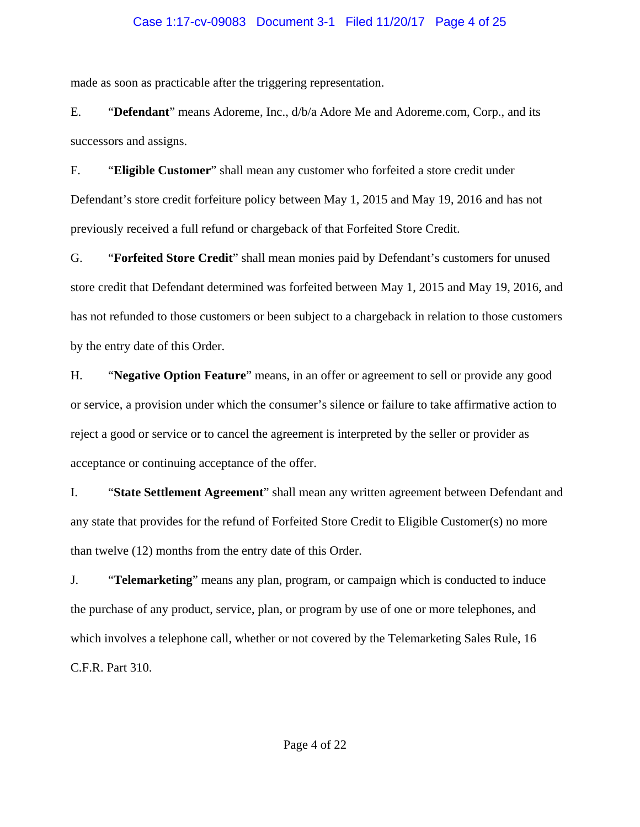## Case 1:17-cv-09083 Document 3-1 Filed 11/20/17 Page 4 of 25

made as soon as practicable after the triggering representation.

E. "**Defendant**" means Adoreme, Inc., d/b/a Adore Me and Adoreme.com, Corp., and its successors and assigns.

F. "**Eligible Customer**" shall mean any customer who forfeited a store credit under Defendant's store credit forfeiture policy between May 1, 2015 and May 19, 2016 and has not previously received a full refund or chargeback of that Forfeited Store Credit.

G. "**Forfeited Store Credit**" shall mean monies paid by Defendant's customers for unused store credit that Defendant determined was forfeited between May 1, 2015 and May 19, 2016, and has not refunded to those customers or been subject to a chargeback in relation to those customers by the entry date of this Order.

H. "**Negative Option Feature**" means, in an offer or agreement to sell or provide any good or service, a provision under which the consumer's silence or failure to take affirmative action to reject a good or service or to cancel the agreement is interpreted by the seller or provider as acceptance or continuing acceptance of the offer.

I. "**State Settlement Agreement**" shall mean any written agreement between Defendant and any state that provides for the refund of Forfeited Store Credit to Eligible Customer(s) no more than twelve (12) months from the entry date of this Order.

J. "**Telemarketing**" means any plan, program, or campaign which is conducted to induce the purchase of any product, service, plan, or program by use of one or more telephones, and which involves a telephone call, whether or not covered by the Telemarketing Sales Rule, 16 C.F.R. Part 310.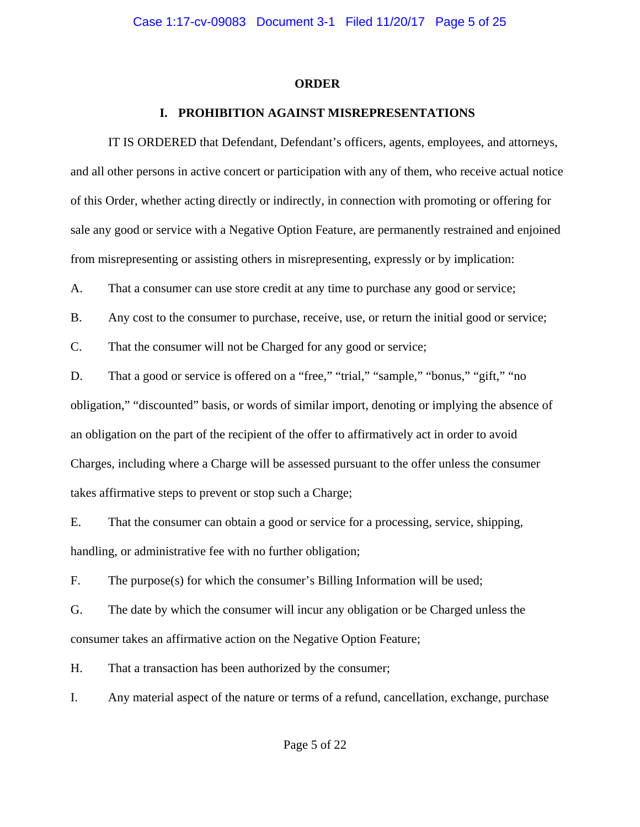#### **ORDER**

## **I. PROHIBITION AGAINST MISREPRESENTATIONS**

IT IS ORDERED that Defendant, Defendant's officers, agents, employees, and attorneys, and all other persons in active concert or participation with any of them, who receive actual notice of this Order, whether acting directly or indirectly, in connection with promoting or offering for sale any good or service with a Negative Option Feature, are permanently restrained and enjoined from misrepresenting or assisting others in misrepresenting, expressly or by implication:

A. That a consumer can use store credit at any time to purchase any good or service;

B. Any cost to the consumer to purchase, receive, use, or return the initial good or service;

C. That the consumer will not be Charged for any good or service;

D. That a good or service is offered on a "free," "trial," "sample," "bonus," "gift," "no obligation," "discounted" basis, or words of similar import, denoting or implying the absence of an obligation on the part of the recipient of the offer to affirmatively act in order to avoid Charges, including where a Charge will be assessed pursuant to the offer unless the consumer takes affirmative steps to prevent or stop such a Charge;

E. That the consumer can obtain a good or service for a processing, service, shipping, handling, or administrative fee with no further obligation;

F. The purpose(s) for which the consumer's Billing Information will be used;

G. The date by which the consumer will incur any obligation or be Charged unless the consumer takes an affirmative action on the Negative Option Feature;

H. That a transaction has been authorized by the consumer;

I. Any material aspect of the nature or terms of a refund, cancellation, exchange, purchase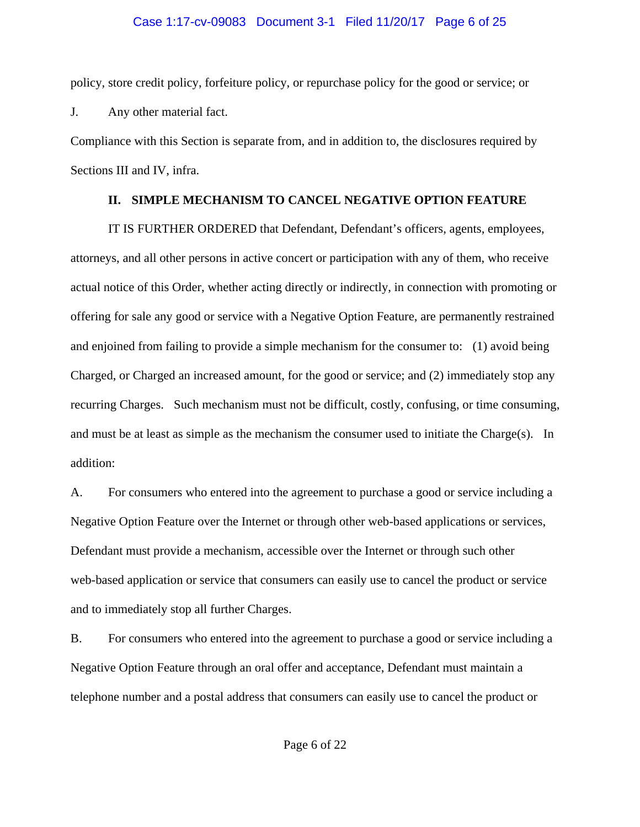## Case 1:17-cv-09083 Document 3-1 Filed 11/20/17 Page 6 of 25

policy, store credit policy, forfeiture policy, or repurchase policy for the good or service; or J. Any other material fact.

Compliance with this Section is separate from, and in addition to, the disclosures required by Sections III and IV, infra.

## **II. SIMPLE MECHANISM TO CANCEL NEGATIVE OPTION FEATURE**

IT IS FURTHER ORDERED that Defendant, Defendant's officers, agents, employees, attorneys, and all other persons in active concert or participation with any of them, who receive actual notice of this Order, whether acting directly or indirectly, in connection with promoting or offering for sale any good or service with a Negative Option Feature, are permanently restrained and enjoined from failing to provide a simple mechanism for the consumer to: (1) avoid being Charged, or Charged an increased amount, for the good or service; and (2) immediately stop any recurring Charges. Such mechanism must not be difficult, costly, confusing, or time consuming, and must be at least as simple as the mechanism the consumer used to initiate the Charge(s). In addition:

A. For consumers who entered into the agreement to purchase a good or service including a Negative Option Feature over the Internet or through other web-based applications or services, Defendant must provide a mechanism, accessible over the Internet or through such other web-based application or service that consumers can easily use to cancel the product or service and to immediately stop all further Charges.

B. For consumers who entered into the agreement to purchase a good or service including a Negative Option Feature through an oral offer and acceptance, Defendant must maintain a telephone number and a postal address that consumers can easily use to cancel the product or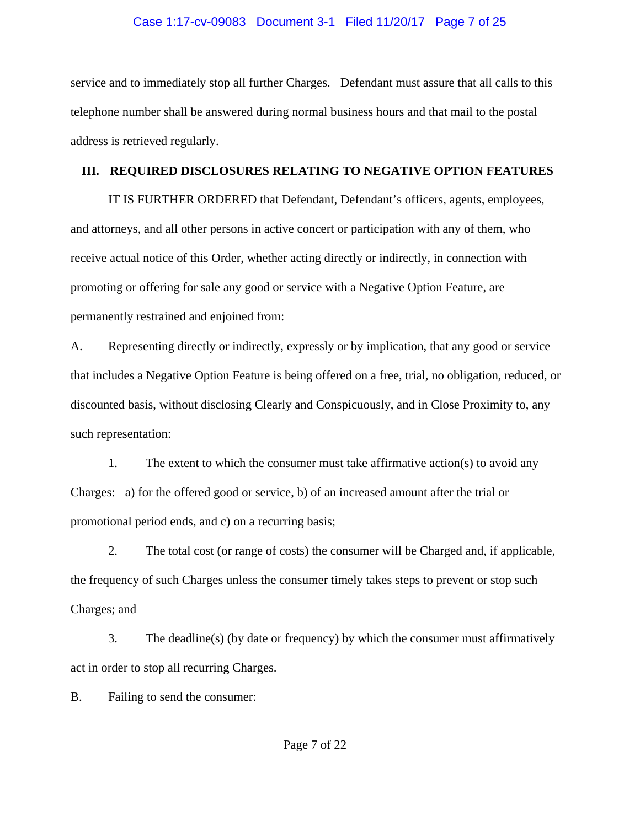#### Case 1:17-cv-09083 Document 3-1 Filed 11/20/17 Page 7 of 25

service and to immediately stop all further Charges. Defendant must assure that all calls to this telephone number shall be answered during normal business hours and that mail to the postal address is retrieved regularly.

#### **III. REQUIRED DISCLOSURES RELATING TO NEGATIVE OPTION FEATURES**

IT IS FURTHER ORDERED that Defendant, Defendant's officers, agents, employees, and attorneys, and all other persons in active concert or participation with any of them, who receive actual notice of this Order, whether acting directly or indirectly, in connection with promoting or offering for sale any good or service with a Negative Option Feature, are permanently restrained and enjoined from:

A. Representing directly or indirectly, expressly or by implication, that any good or service that includes a Negative Option Feature is being offered on a free, trial, no obligation, reduced, or discounted basis, without disclosing Clearly and Conspicuously, and in Close Proximity to, any such representation:

1. The extent to which the consumer must take affirmative action(s) to avoid any Charges: a) for the offered good or service, b) of an increased amount after the trial or promotional period ends, and c) on a recurring basis;

2. The total cost (or range of costs) the consumer will be Charged and, if applicable, the frequency of such Charges unless the consumer timely takes steps to prevent or stop such Charges; and

3. The deadline(s) (by date or frequency) by which the consumer must affirmatively act in order to stop all recurring Charges.

B. Failing to send the consumer: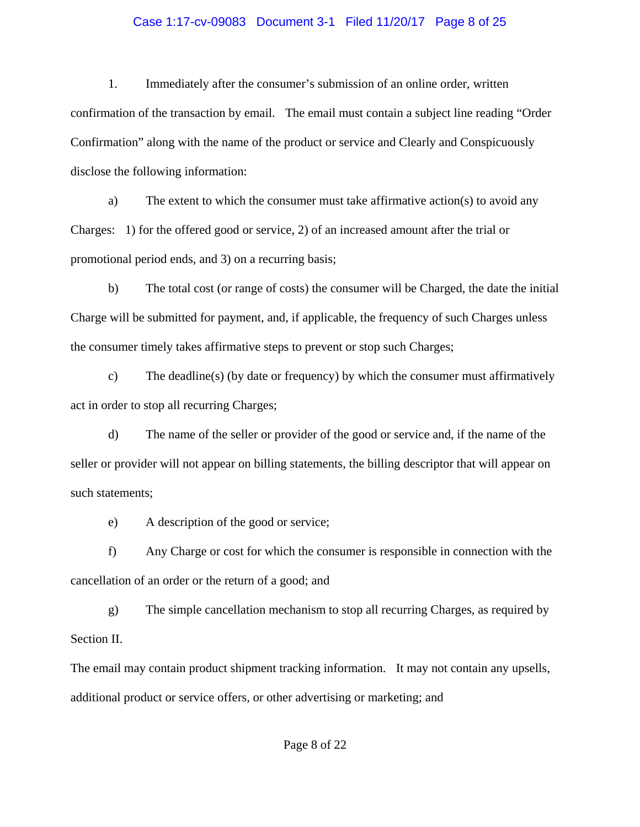## Case 1:17-cv-09083 Document 3-1 Filed 11/20/17 Page 8 of 25

1. Immediately after the consumer's submission of an online order, written confirmation of the transaction by email. The email must contain a subject line reading "Order Confirmation" along with the name of the product or service and Clearly and Conspicuously disclose the following information:

a) The extent to which the consumer must take affirmative action(s) to avoid any Charges: 1) for the offered good or service, 2) of an increased amount after the trial or promotional period ends, and 3) on a recurring basis;

b) The total cost (or range of costs) the consumer will be Charged, the date the initial Charge will be submitted for payment, and, if applicable, the frequency of such Charges unless the consumer timely takes affirmative steps to prevent or stop such Charges;

c) The deadline(s) (by date or frequency) by which the consumer must affirmatively act in order to stop all recurring Charges;

d) The name of the seller or provider of the good or service and, if the name of the seller or provider will not appear on billing statements, the billing descriptor that will appear on such statements;

e) A description of the good or service;

f) Any Charge or cost for which the consumer is responsible in connection with the cancellation of an order or the return of a good; and

g) The simple cancellation mechanism to stop all recurring Charges, as required by Section II.

The email may contain product shipment tracking information. It may not contain any upsells, additional product or service offers, or other advertising or marketing; and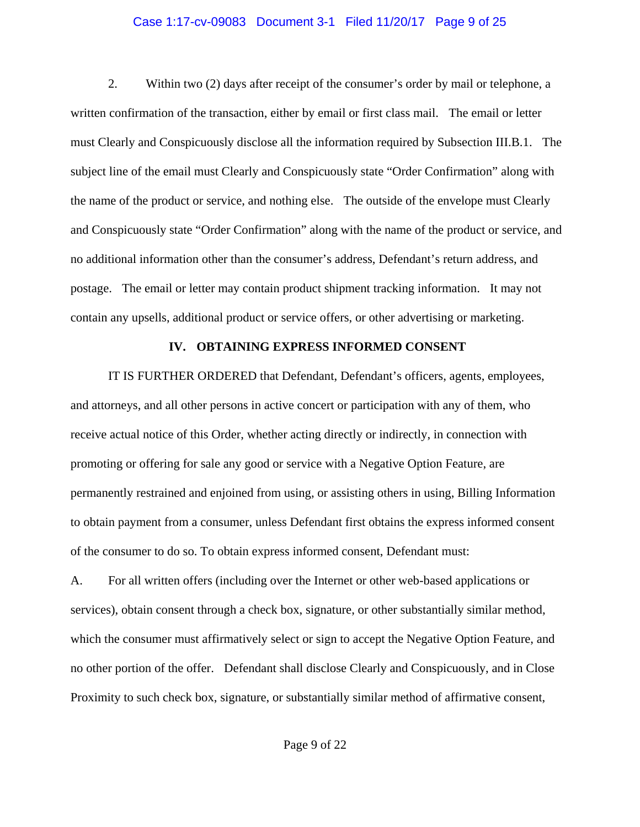#### Case 1:17-cv-09083 Document 3-1 Filed 11/20/17 Page 9 of 25

2. Within two (2) days after receipt of the consumer's order by mail or telephone, a written confirmation of the transaction, either by email or first class mail. The email or letter must Clearly and Conspicuously disclose all the information required by Subsection III.B.1. The subject line of the email must Clearly and Conspicuously state "Order Confirmation" along with the name of the product or service, and nothing else. The outside of the envelope must Clearly and Conspicuously state "Order Confirmation" along with the name of the product or service, and no additional information other than the consumer's address, Defendant's return address, and postage. The email or letter may contain product shipment tracking information. It may not contain any upsells, additional product or service offers, or other advertising or marketing.

#### **IV. OBTAINING EXPRESS INFORMED CONSENT**

IT IS FURTHER ORDERED that Defendant, Defendant's officers, agents, employees, and attorneys, and all other persons in active concert or participation with any of them, who receive actual notice of this Order, whether acting directly or indirectly, in connection with promoting or offering for sale any good or service with a Negative Option Feature, are permanently restrained and enjoined from using, or assisting others in using, Billing Information to obtain payment from a consumer, unless Defendant first obtains the express informed consent of the consumer to do so. To obtain express informed consent, Defendant must:

A. For all written offers (including over the Internet or other web-based applications or services), obtain consent through a check box, signature, or other substantially similar method, which the consumer must affirmatively select or sign to accept the Negative Option Feature, and no other portion of the offer. Defendant shall disclose Clearly and Conspicuously, and in Close Proximity to such check box, signature, or substantially similar method of affirmative consent,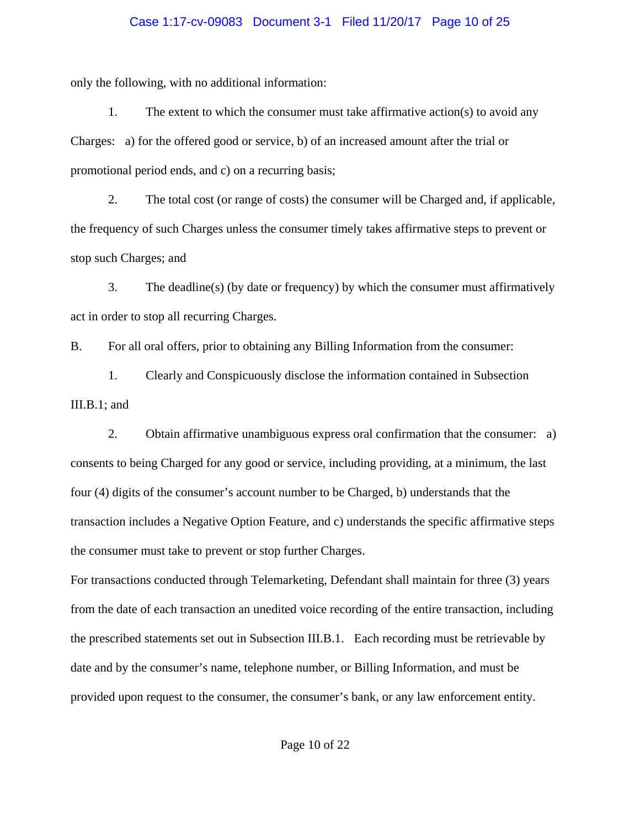#### Case 1:17-cv-09083 Document 3-1 Filed 11/20/17 Page 10 of 25

only the following, with no additional information:

1. The extent to which the consumer must take affirmative action(s) to avoid any Charges: a) for the offered good or service, b) of an increased amount after the trial or promotional period ends, and c) on a recurring basis;

2. The total cost (or range of costs) the consumer will be Charged and, if applicable, the frequency of such Charges unless the consumer timely takes affirmative steps to prevent or stop such Charges; and

3. The deadline(s) (by date or frequency) by which the consumer must affirmatively act in order to stop all recurring Charges.

B. For all oral offers, prior to obtaining any Billing Information from the consumer:

1. Clearly and Conspicuously disclose the information contained in Subsection III.B.1; and

2. Obtain affirmative unambiguous express oral confirmation that the consumer: a) consents to being Charged for any good or service, including providing, at a minimum, the last four (4) digits of the consumer's account number to be Charged, b) understands that the transaction includes a Negative Option Feature, and c) understands the specific affirmative steps the consumer must take to prevent or stop further Charges.

For transactions conducted through Telemarketing, Defendant shall maintain for three (3) years from the date of each transaction an unedited voice recording of the entire transaction, including the prescribed statements set out in Subsection III.B.1. Each recording must be retrievable by date and by the consumer's name, telephone number, or Billing Information, and must be provided upon request to the consumer, the consumer's bank, or any law enforcement entity.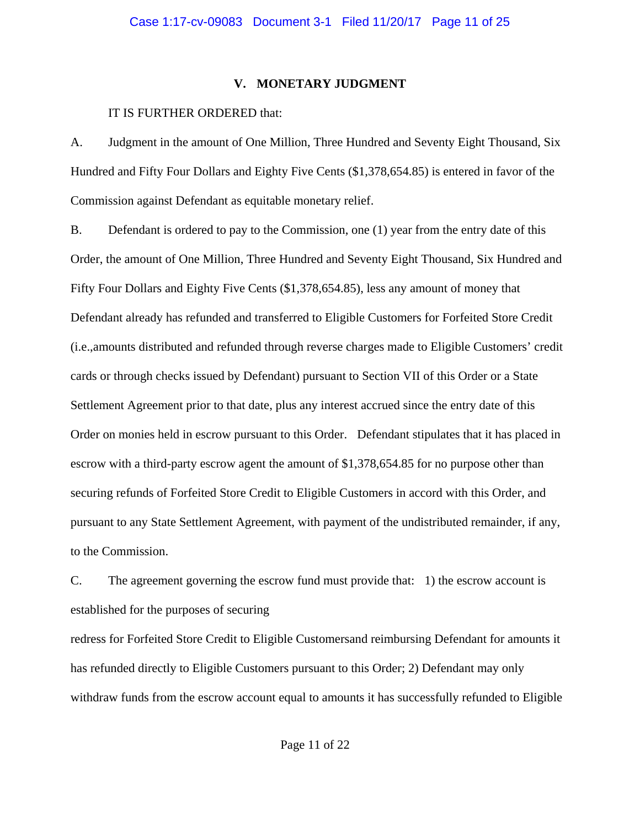## **V. MONETARY JUDGMENT**

## IT IS FURTHER ORDERED that:

A. Judgment in the amount of One Million, Three Hundred and Seventy Eight Thousand, Six Hundred and Fifty Four Dollars and Eighty Five Cents (\$1,378,654.85) is entered in favor of the Commission against Defendant as equitable monetary relief.

B. Defendant is ordered to pay to the Commission, one (1) year from the entry date of this Order, the amount of One Million, Three Hundred and Seventy Eight Thousand, Six Hundred and Fifty Four Dollars and Eighty Five Cents (\$1,378,654.85), less any amount of money that Defendant already has refunded and transferred to Eligible Customers for Forfeited Store Credit (i.e.,amounts distributed and refunded through reverse charges made to Eligible Customers' credit cards or through checks issued by Defendant) pursuant to Section VII of this Order or a State Settlement Agreement prior to that date, plus any interest accrued since the entry date of this Order on monies held in escrow pursuant to this Order. Defendant stipulates that it has placed in escrow with a third-party escrow agent the amount of \$1,378,654.85 for no purpose other than securing refunds of Forfeited Store Credit to Eligible Customers in accord with this Order, and pursuant to any State Settlement Agreement, with payment of the undistributed remainder, if any, to the Commission.

C. The agreement governing the escrow fund must provide that: 1) the escrow account is established for the purposes of securing

redress for Forfeited Store Credit to Eligible Customersand reimbursing Defendant for amounts it has refunded directly to Eligible Customers pursuant to this Order; 2) Defendant may only withdraw funds from the escrow account equal to amounts it has successfully refunded to Eligible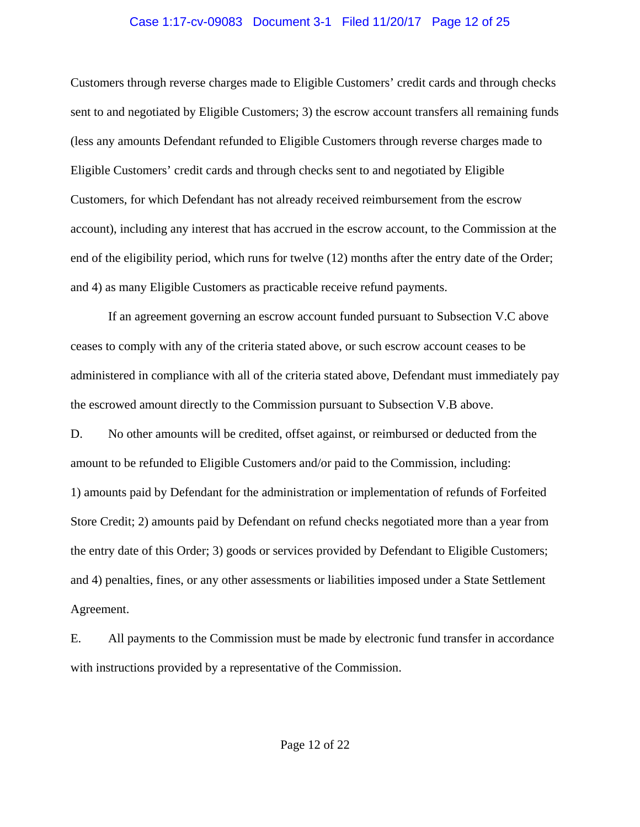#### Case 1:17-cv-09083 Document 3-1 Filed 11/20/17 Page 12 of 25

Customers through reverse charges made to Eligible Customers' credit cards and through checks sent to and negotiated by Eligible Customers; 3) the escrow account transfers all remaining funds (less any amounts Defendant refunded to Eligible Customers through reverse charges made to Eligible Customers' credit cards and through checks sent to and negotiated by Eligible Customers, for which Defendant has not already received reimbursement from the escrow account), including any interest that has accrued in the escrow account, to the Commission at the end of the eligibility period, which runs for twelve (12) months after the entry date of the Order; and 4) as many Eligible Customers as practicable receive refund payments.

If an agreement governing an escrow account funded pursuant to Subsection V.C above ceases to comply with any of the criteria stated above, or such escrow account ceases to be administered in compliance with all of the criteria stated above, Defendant must immediately pay the escrowed amount directly to the Commission pursuant to Subsection V.B above. D. No other amounts will be credited, offset against, or reimbursed or deducted from the amount to be refunded to Eligible Customers and/or paid to the Commission, including: 1) amounts paid by Defendant for the administration or implementation of refunds of Forfeited Store Credit; 2) amounts paid by Defendant on refund checks negotiated more than a year from the entry date of this Order; 3) goods or services provided by Defendant to Eligible Customers; and 4) penalties, fines, or any other assessments or liabilities imposed under a State Settlement Agreement.

E. All payments to the Commission must be made by electronic fund transfer in accordance with instructions provided by a representative of the Commission.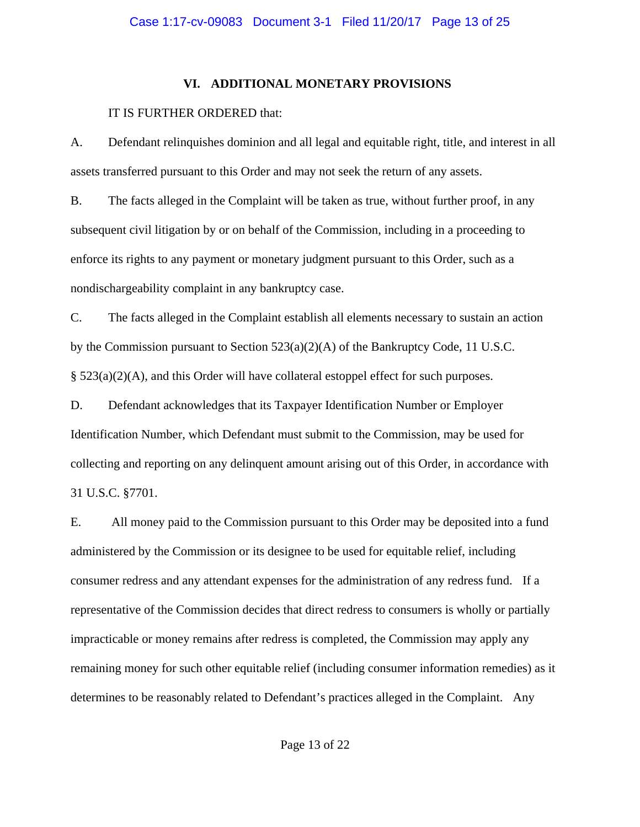## **VI. ADDITIONAL MONETARY PROVISIONS**

## IT IS FURTHER ORDERED that:

A. Defendant relinquishes dominion and all legal and equitable right, title, and interest in all assets transferred pursuant to this Order and may not seek the return of any assets.

B. The facts alleged in the Complaint will be taken as true, without further proof, in any subsequent civil litigation by or on behalf of the Commission, including in a proceeding to enforce its rights to any payment or monetary judgment pursuant to this Order, such as a nondischargeability complaint in any bankruptcy case.

C. The facts alleged in the Complaint establish all elements necessary to sustain an action by the Commission pursuant to Section  $523(a)(2)(A)$  of the Bankruptcy Code, 11 U.S.C. § 523(a)(2)(A), and this Order will have collateral estoppel effect for such purposes.

D. Defendant acknowledges that its Taxpayer Identification Number or Employer Identification Number, which Defendant must submit to the Commission, may be used for collecting and reporting on any delinquent amount arising out of this Order, in accordance with 31 U.S.C. §7701.

E. All money paid to the Commission pursuant to this Order may be deposited into a fund administered by the Commission or its designee to be used for equitable relief, including consumer redress and any attendant expenses for the administration of any redress fund. If a representative of the Commission decides that direct redress to consumers is wholly or partially impracticable or money remains after redress is completed, the Commission may apply any remaining money for such other equitable relief (including consumer information remedies) as it determines to be reasonably related to Defendant's practices alleged in the Complaint. Any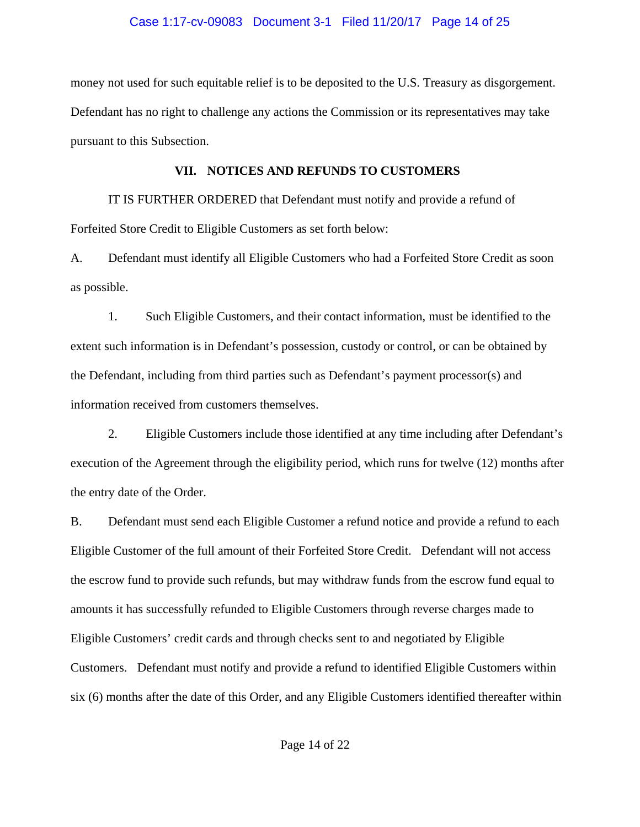money not used for such equitable relief is to be deposited to the U.S. Treasury as disgorgement. Defendant has no right to challenge any actions the Commission or its representatives may take pursuant to this Subsection.

## **VII. NOTICES AND REFUNDS TO CUSTOMERS**

IT IS FURTHER ORDERED that Defendant must notify and provide a refund of Forfeited Store Credit to Eligible Customers as set forth below:

A. Defendant must identify all Eligible Customers who had a Forfeited Store Credit as soon as possible.

1. Such Eligible Customers, and their contact information, must be identified to the extent such information is in Defendant's possession, custody or control, or can be obtained by the Defendant, including from third parties such as Defendant's payment processor(s) and information received from customers themselves.

2. Eligible Customers include those identified at any time including after Defendant's execution of the Agreement through the eligibility period, which runs for twelve (12) months after the entry date of the Order.

B. Defendant must send each Eligible Customer a refund notice and provide a refund to each Eligible Customer of the full amount of their Forfeited Store Credit. Defendant will not access the escrow fund to provide such refunds, but may withdraw funds from the escrow fund equal to amounts it has successfully refunded to Eligible Customers through reverse charges made to Eligible Customers' credit cards and through checks sent to and negotiated by Eligible Customers. Defendant must notify and provide a refund to identified Eligible Customers within six (6) months after the date of this Order, and any Eligible Customers identified thereafter within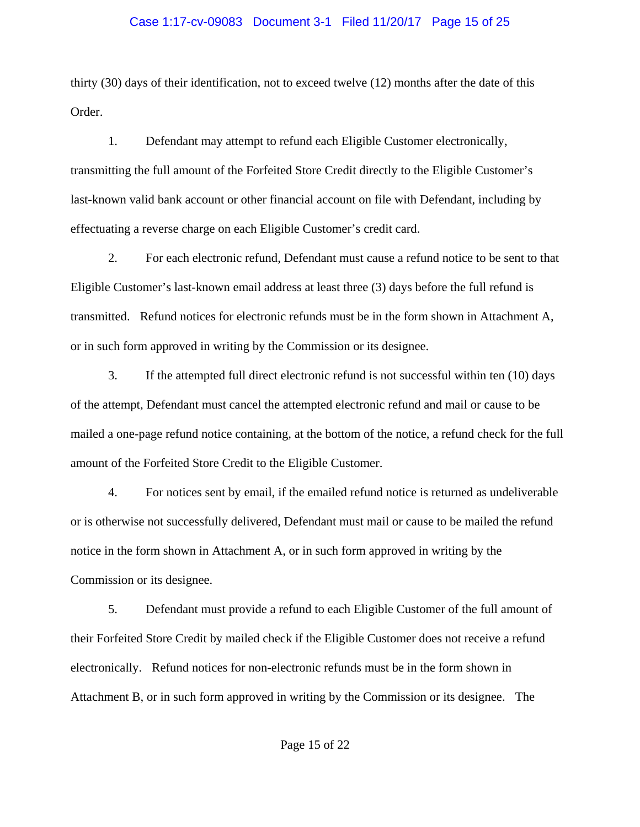#### Case 1:17-cv-09083 Document 3-1 Filed 11/20/17 Page 15 of 25

thirty (30) days of their identification, not to exceed twelve (12) months after the date of this Order.

1. Defendant may attempt to refund each Eligible Customer electronically, transmitting the full amount of the Forfeited Store Credit directly to the Eligible Customer's last-known valid bank account or other financial account on file with Defendant, including by effectuating a reverse charge on each Eligible Customer's credit card.

2. For each electronic refund, Defendant must cause a refund notice to be sent to that Eligible Customer's last-known email address at least three (3) days before the full refund is transmitted. Refund notices for electronic refunds must be in the form shown in Attachment A, or in such form approved in writing by the Commission or its designee.

3. If the attempted full direct electronic refund is not successful within ten (10) days of the attempt, Defendant must cancel the attempted electronic refund and mail or cause to be mailed a one-page refund notice containing, at the bottom of the notice, a refund check for the full amount of the Forfeited Store Credit to the Eligible Customer.

4. For notices sent by email, if the emailed refund notice is returned as undeliverable or is otherwise not successfully delivered, Defendant must mail or cause to be mailed the refund notice in the form shown in Attachment A, or in such form approved in writing by the Commission or its designee.

5. Defendant must provide a refund to each Eligible Customer of the full amount of their Forfeited Store Credit by mailed check if the Eligible Customer does not receive a refund electronically. Refund notices for non-electronic refunds must be in the form shown in Attachment B, or in such form approved in writing by the Commission or its designee. The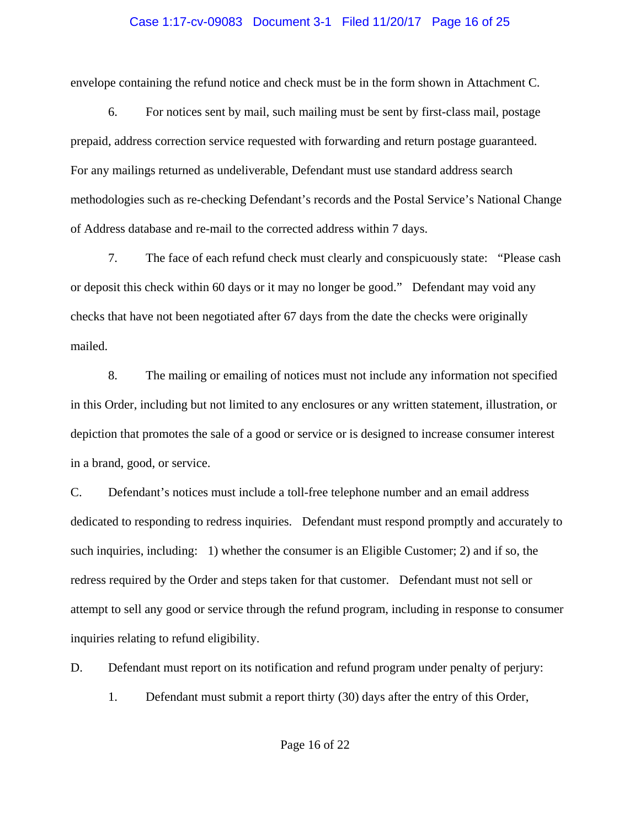#### Case 1:17-cv-09083 Document 3-1 Filed 11/20/17 Page 16 of 25

envelope containing the refund notice and check must be in the form shown in Attachment C.

6. For notices sent by mail, such mailing must be sent by first-class mail, postage prepaid, address correction service requested with forwarding and return postage guaranteed. For any mailings returned as undeliverable, Defendant must use standard address search methodologies such as re-checking Defendant's records and the Postal Service's National Change of Address database and re-mail to the corrected address within 7 days.

7. The face of each refund check must clearly and conspicuously state: "Please cash or deposit this check within 60 days or it may no longer be good." Defendant may void any checks that have not been negotiated after 67 days from the date the checks were originally mailed.

8. The mailing or emailing of notices must not include any information not specified in this Order, including but not limited to any enclosures or any written statement, illustration, or depiction that promotes the sale of a good or service or is designed to increase consumer interest in a brand, good, or service.

C. Defendant's notices must include a toll-free telephone number and an email address dedicated to responding to redress inquiries. Defendant must respond promptly and accurately to such inquiries, including: 1) whether the consumer is an Eligible Customer; 2) and if so, the redress required by the Order and steps taken for that customer. Defendant must not sell or attempt to sell any good or service through the refund program, including in response to consumer inquiries relating to refund eligibility.

D. Defendant must report on its notification and refund program under penalty of perjury:

1. Defendant must submit a report thirty (30) days after the entry of this Order,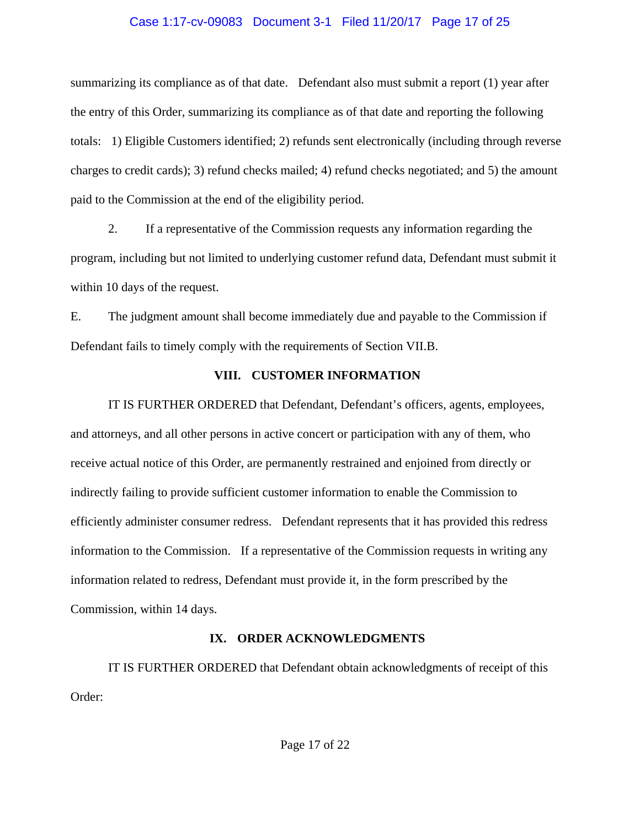## Case 1:17-cv-09083 Document 3-1 Filed 11/20/17 Page 17 of 25

summarizing its compliance as of that date. Defendant also must submit a report (1) year after the entry of this Order, summarizing its compliance as of that date and reporting the following totals: 1) Eligible Customers identified; 2) refunds sent electronically (including through reverse charges to credit cards); 3) refund checks mailed; 4) refund checks negotiated; and 5) the amount paid to the Commission at the end of the eligibility period.

2. If a representative of the Commission requests any information regarding the program, including but not limited to underlying customer refund data, Defendant must submit it within 10 days of the request.

E. The judgment amount shall become immediately due and payable to the Commission if Defendant fails to timely comply with the requirements of Section VII.B.

## **VIII. CUSTOMER INFORMATION**

IT IS FURTHER ORDERED that Defendant, Defendant's officers, agents, employees, and attorneys, and all other persons in active concert or participation with any of them, who receive actual notice of this Order, are permanently restrained and enjoined from directly or indirectly failing to provide sufficient customer information to enable the Commission to efficiently administer consumer redress. Defendant represents that it has provided this redress information to the Commission. If a representative of the Commission requests in writing any information related to redress, Defendant must provide it, in the form prescribed by the Commission, within 14 days.

## **IX. ORDER ACKNOWLEDGMENTS**

IT IS FURTHER ORDERED that Defendant obtain acknowledgments of receipt of this Order: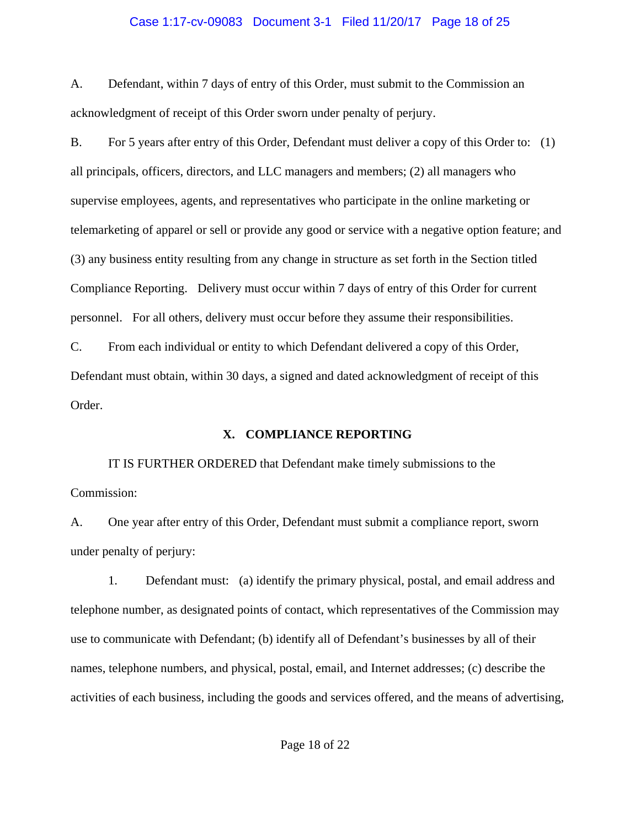#### Case 1:17-cv-09083 Document 3-1 Filed 11/20/17 Page 18 of 25

A. Defendant, within 7 days of entry of this Order, must submit to the Commission an acknowledgment of receipt of this Order sworn under penalty of perjury.

B. For 5 years after entry of this Order, Defendant must deliver a copy of this Order to: (1) all principals, officers, directors, and LLC managers and members; (2) all managers who supervise employees, agents, and representatives who participate in the online marketing or telemarketing of apparel or sell or provide any good or service with a negative option feature; and (3) any business entity resulting from any change in structure as set forth in the Section titled Compliance Reporting. Delivery must occur within 7 days of entry of this Order for current personnel. For all others, delivery must occur before they assume their responsibilities. C. From each individual or entity to which Defendant delivered a copy of this Order, Defendant must obtain, within 30 days, a signed and dated acknowledgment of receipt of this Order.

#### **X. COMPLIANCE REPORTING**

IT IS FURTHER ORDERED that Defendant make timely submissions to the Commission:

A. One year after entry of this Order, Defendant must submit a compliance report, sworn under penalty of perjury:

1. Defendant must: (a) identify the primary physical, postal, and email address and telephone number, as designated points of contact, which representatives of the Commission may use to communicate with Defendant; (b) identify all of Defendant's businesses by all of their names, telephone numbers, and physical, postal, email, and Internet addresses; (c) describe the activities of each business, including the goods and services offered, and the means of advertising,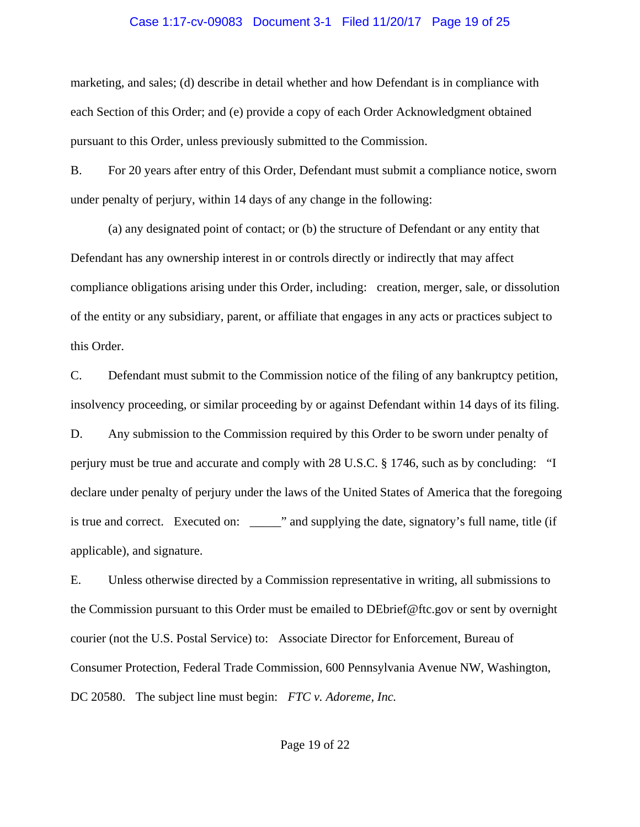#### Case 1:17-cv-09083 Document 3-1 Filed 11/20/17 Page 19 of 25

marketing, and sales; (d) describe in detail whether and how Defendant is in compliance with each Section of this Order; and (e) provide a copy of each Order Acknowledgment obtained pursuant to this Order, unless previously submitted to the Commission.

B. For 20 years after entry of this Order, Defendant must submit a compliance notice, sworn under penalty of perjury, within 14 days of any change in the following:

(a) any designated point of contact; or (b) the structure of Defendant or any entity that Defendant has any ownership interest in or controls directly or indirectly that may affect compliance obligations arising under this Order, including: creation, merger, sale, or dissolution of the entity or any subsidiary, parent, or affiliate that engages in any acts or practices subject to this Order.

C. Defendant must submit to the Commission notice of the filing of any bankruptcy petition, insolvency proceeding, or similar proceeding by or against Defendant within 14 days of its filing. D. Any submission to the Commission required by this Order to be sworn under penalty of perjury must be true and accurate and comply with 28 U.S.C. § 1746, such as by concluding: "I declare under penalty of perjury under the laws of the United States of America that the foregoing is true and correct. Executed on: \_\_\_\_\_" and supplying the date, signatory's full name, title (if applicable), and signature.

E. Unless otherwise directed by a Commission representative in writing, all submissions to the Commission pursuant to this Order must be emailed to DEbrief@ftc.gov or sent by overnight courier (not the U.S. Postal Service) to: Associate Director for Enforcement, Bureau of Consumer Protection, Federal Trade Commission, 600 Pennsylvania Avenue NW, Washington, DC 20580. The subject line must begin: *FTC v. Adoreme, Inc.*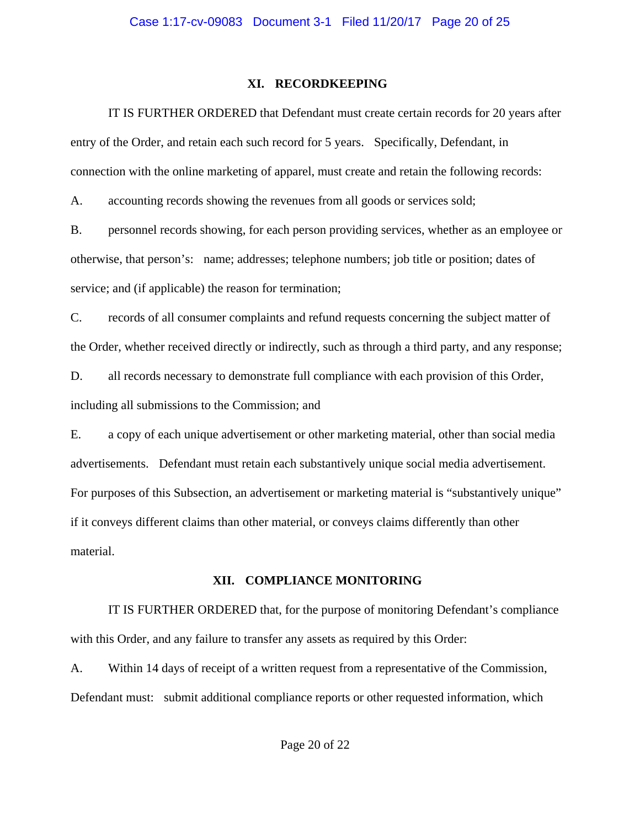## **XI. RECORDKEEPING**

IT IS FURTHER ORDERED that Defendant must create certain records for 20 years after entry of the Order, and retain each such record for 5 years. Specifically, Defendant, in connection with the online marketing of apparel, must create and retain the following records:

A. accounting records showing the revenues from all goods or services sold;

B. personnel records showing, for each person providing services, whether as an employee or otherwise, that person's: name; addresses; telephone numbers; job title or position; dates of service; and (if applicable) the reason for termination;

C. records of all consumer complaints and refund requests concerning the subject matter of the Order, whether received directly or indirectly, such as through a third party, and any response;

D. all records necessary to demonstrate full compliance with each provision of this Order, including all submissions to the Commission; and

E. a copy of each unique advertisement or other marketing material, other than social media advertisements. Defendant must retain each substantively unique social media advertisement. For purposes of this Subsection, an advertisement or marketing material is "substantively unique" if it conveys different claims than other material, or conveys claims differently than other material.

## **XII. COMPLIANCE MONITORING**

IT IS FURTHER ORDERED that, for the purpose of monitoring Defendant's compliance with this Order, and any failure to transfer any assets as required by this Order:

A. Within 14 days of receipt of a written request from a representative of the Commission, Defendant must: submit additional compliance reports or other requested information, which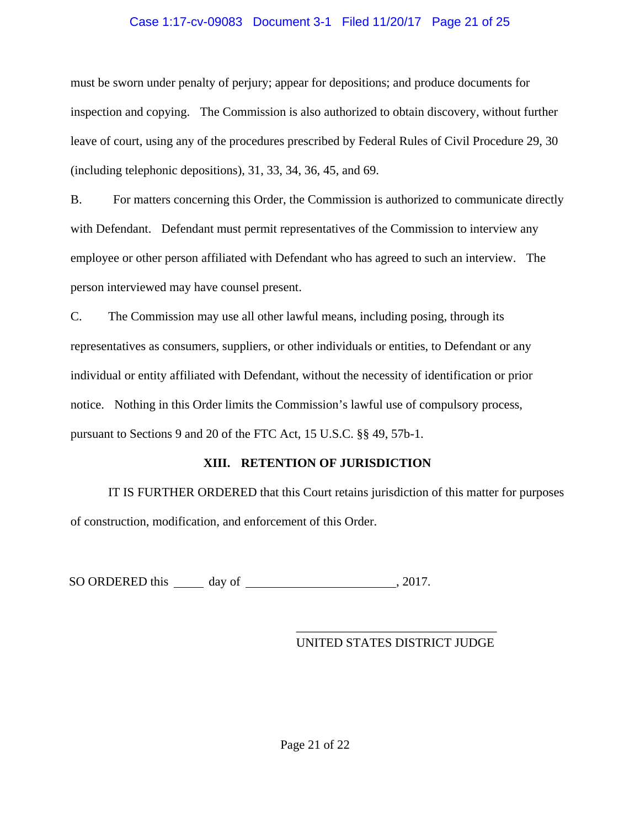## Case 1:17-cv-09083 Document 3-1 Filed 11/20/17 Page 21 of 25

must be sworn under penalty of perjury; appear for depositions; and produce documents for inspection and copying. The Commission is also authorized to obtain discovery, without further leave of court, using any of the procedures prescribed by Federal Rules of Civil Procedure 29, 30 (including telephonic depositions), 31, 33, 34, 36, 45, and 69.

B. For matters concerning this Order, the Commission is authorized to communicate directly with Defendant. Defendant must permit representatives of the Commission to interview any employee or other person affiliated with Defendant who has agreed to such an interview. The person interviewed may have counsel present.

C. The Commission may use all other lawful means, including posing, through its representatives as consumers, suppliers, or other individuals or entities, to Defendant or any individual or entity affiliated with Defendant, without the necessity of identification or prior notice. Nothing in this Order limits the Commission's lawful use of compulsory process, pursuant to Sections 9 and 20 of the FTC Act, 15 U.S.C. §§ 49, 57b-1.

## **XIII. RETENTION OF JURISDICTION**

IT IS FURTHER ORDERED that this Court retains jurisdiction of this matter for purposes of construction, modification, and enforcement of this Order.

SO ORDERED this day of  $\qquad \qquad$  , 2017.

## \_\_\_\_\_\_\_\_\_\_\_\_\_\_\_\_\_\_\_\_\_\_\_\_\_\_\_\_\_\_\_\_ UNITED STATES DISTRICT JUDGE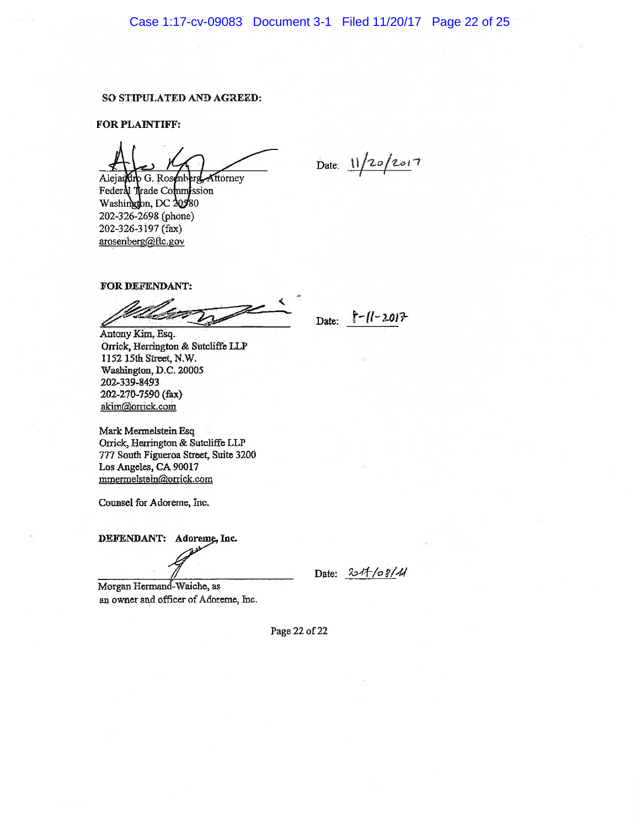#### SO STIPULATED AND AGREED:

**FOR PLAINTIFF:** 

Alejandrp G. Rosenbl Kttorney Federal Trade Commission Washington, DC 20380 202-326-2698 (phone) 202-326-3197 (fax) arosenberg@ftc.gov

Date:  $11/20/2017$ 

FOR DEFENDANT:

Date:  $\frac{|r-1|-201^2}{ }$ 

Antony Kim, Esq. Orrick, Herrington & Sutcliffe LLP 1152 15th Street, N.W. Washington, D.C. 20005 202-339-8493 202-270-7590 (fax) akim@orrick.com

Mark Mermelstein Esq. Orrick, Herrington & Sutcliffe LLP 777 South Figueroa Street, Suite 3200 Los Angeles, CA 90017 mmermelstein@orrick.com

Counsel for Adoreme, Inc.

DEFENDANT: Adoreme, Inc.

Date:  $254/68/44$ 

Morgan Hermand-Waiche, as an owner and officer of Adoreme, Inc.

Page 22 of 22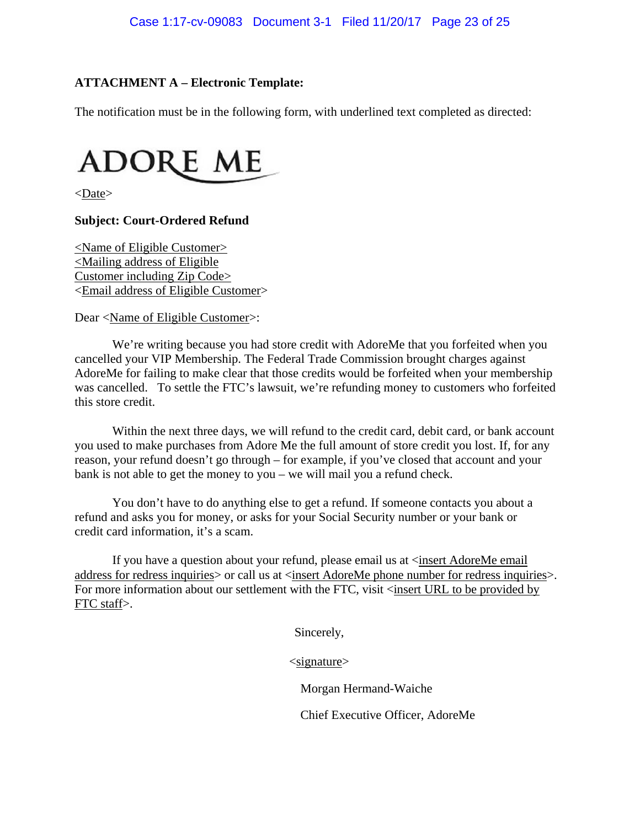## **ATTACHMENT A – Electronic Template:**

The notification must be in the following form, with underlined text completed as directed:



<Date>

## **Subject: Court-Ordered Refund**

<Name of Eligible Customer> <Mailing address of Eligible Customer including Zip Code> <Email address of Eligible Customer>

Dear <Name of Eligible Customer>:

We're writing because you had store credit with AdoreMe that you forfeited when you cancelled your VIP Membership. The Federal Trade Commission brought charges against AdoreMe for failing to make clear that those credits would be forfeited when your membership was cancelled. To settle the FTC's lawsuit, we're refunding money to customers who forfeited this store credit.

Within the next three days, we will refund to the credit card, debit card, or bank account you used to make purchases from Adore Me the full amount of store credit you lost. If, for any reason, your refund doesn't go through – for example, if you've closed that account and your bank is not able to get the money to you – we will mail you a refund check.

You don't have to do anything else to get a refund. If someone contacts you about a refund and asks you for money, or asks for your Social Security number or your bank or credit card information, it's a scam.

If you have a question about your refund, please email us at <insert AdoreMe email address for redress inquiries or call us at <insert AdoreMe phone number for redress inquiries >. For more information about our settlement with the FTC, visit <insert URL to be provided by FTC staff>.

Sincerely,

<signature>

Morgan Hermand-Waiche

Chief Executive Officer, AdoreMe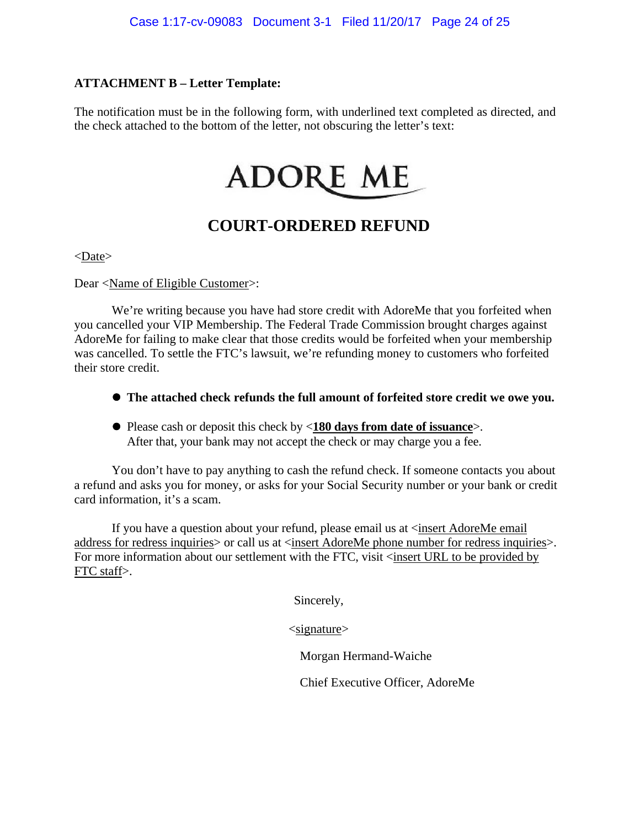## **ATTACHMENT B – Letter Template:**

The notification must be in the following form, with underlined text completed as directed, and the check attached to the bottom of the letter, not obscuring the letter's text:

# **ADORE ME**

# **COURT-ORDERED REFUND**

 $<$ Date $>$ 

Dear <Name of Eligible Customer>:

We're writing because you have had store credit with AdoreMe that you forfeited when you cancelled your VIP Membership. The Federal Trade Commission brought charges against AdoreMe for failing to make clear that those credits would be forfeited when your membership was cancelled. To settle the FTC's lawsuit, we're refunding money to customers who forfeited their store credit.

- **The attached check refunds the full amount of forfeited store credit we owe you.**
- Please cash or deposit this check by <**180 days from date of issuance**>. After that, your bank may not accept the check or may charge you a fee.

You don't have to pay anything to cash the refund check. If someone contacts you about a refund and asks you for money, or asks for your Social Security number or your bank or credit card information, it's a scam.

If you have a question about your refund, please email us at <insert AdoreMe email address for redress inquiries> or call us at <insert AdoreMe phone number for redress inquiries>. For more information about our settlement with the FTC, visit <insert URL to be provided by FTC staff>.

Sincerely,

 $\langle$ signature $\rangle$ 

Morgan Hermand-Waiche

Chief Executive Officer, AdoreMe